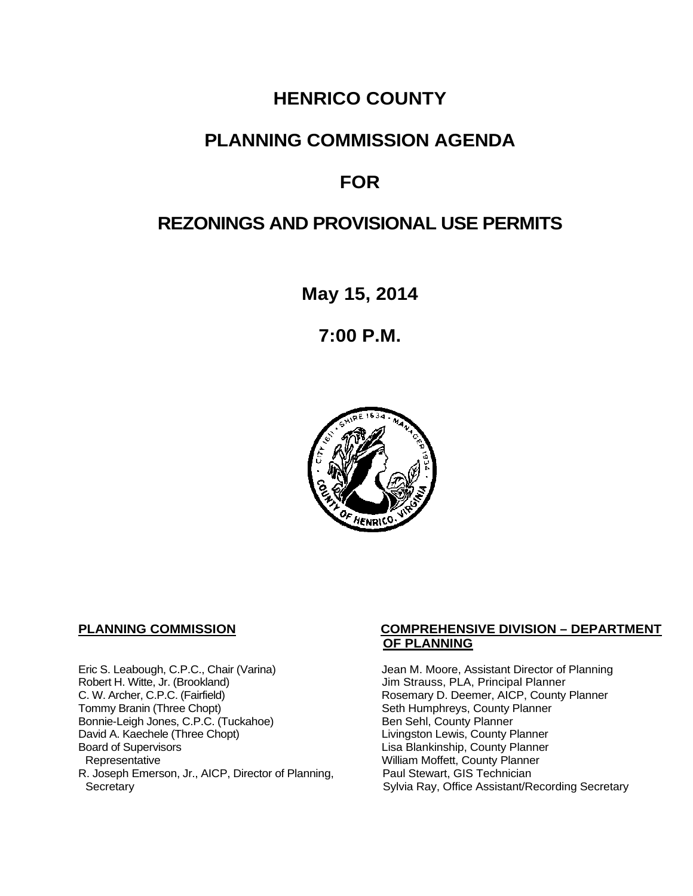## **HENRICO COUNTY**

## **PLANNING COMMISSION AGENDA**

## **FOR**

## **REZONINGS AND PROVISIONAL USE PERMITS**

**May 15, 2014**

**7:00 P.M.**



Eric S. Leabough, C.P.C., Chair (Varina) Jean M. Moore, Assistant Director of Planning<br>Robert H. Witte, Jr. (Brookland) Jim Strauss, PLA, Principal Planner Robert H. Witte, Jr. (Brookland)<br>C. W. Archer, C.P.C. (Fairfield) G. W. Archer, C.P.C. (Fairfield) C. W. Archer, C.P.C. (Fairfield) C. W. Archer, C.P.C. (Fairfield) Rosemary D. Deemer, AICP, County Planner<br>Tommy Branin (Three Chopt) Seth Humphreys, County Planner Bonnie-Leigh Jones, C.P.C. (Tuckahoe)<br>David A. Kaechele (Three Chopt) David A. Kaechele (Three Chopt) Livingston Lewis, County Planner<br>Board of Supervisors County Planner<br>Lisa Blankinship, County Planner Board of Supervisors Lisa Blankinship, County Planner R. Joseph Emerson, Jr., AICP, Director of Planning, Secretary

#### **PLANNING COMMISSION COMPREHENSIVE DIVISION – DEPARTMENT OF PLANNING**

Seth Humphreys, County Planner<br>Ben Sehl, County Planner William Moffett, County Planner<br>Paul Stewart, GIS Technician Sylvia Ray, Office Assistant/Recording Secretary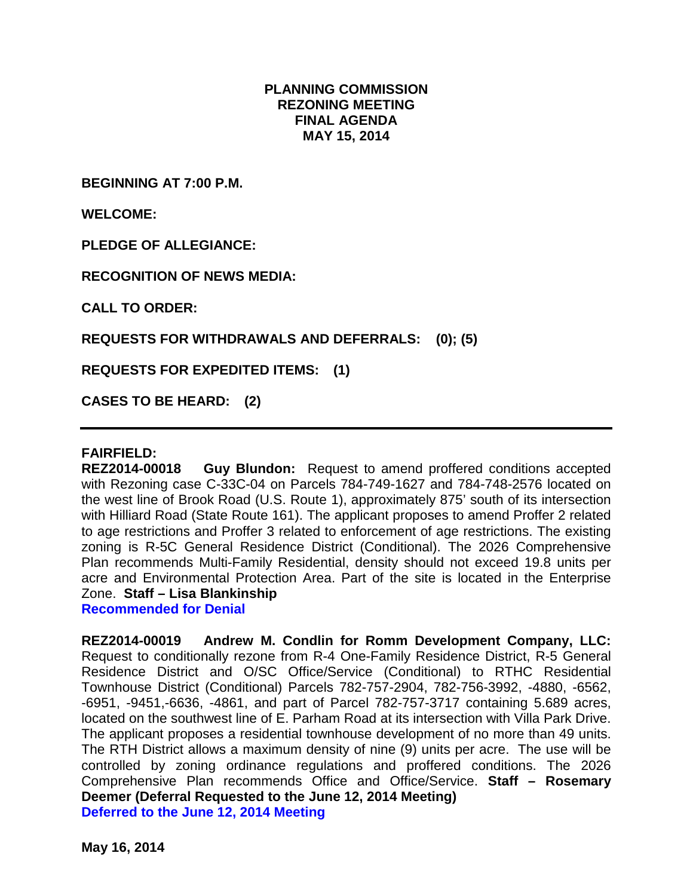#### **PLANNING COMMISSION REZONING MEETING FINAL AGENDA MAY 15, 2014**

**BEGINNING AT 7:00 P.M.**

**WELCOME:**

**PLEDGE OF ALLEGIANCE:**

**RECOGNITION OF NEWS MEDIA:**

**CALL TO ORDER:**

**REQUESTS FOR WITHDRAWALS AND DEFERRALS: (0); (5)**

**REQUESTS FOR EXPEDITED ITEMS: (1)**

**CASES TO BE HEARD: (2)**

#### **FAIRFIELD:**

**REZ2014-00018 Guy Blundon:** Request to amend proffered conditions accepted with Rezoning case C-33C-04 on Parcels 784-749-1627 and 784-748-2576 located on the west line of Brook Road (U.S. Route 1), approximately 875' south of its intersection with Hilliard Road (State Route 161). The applicant proposes to amend Proffer 2 related to age restrictions and Proffer 3 related to enforcement of age restrictions. The existing zoning is R-5C General Residence District (Conditional). The 2026 Comprehensive Plan recommends Multi-Family Residential, density should not exceed 19.8 units per acre and Environmental Protection Area. Part of the site is located in the Enterprise Zone. **Staff – Lisa Blankinship**

**Recommended for Denial**

**REZ2014-00019 Andrew M. Condlin for Romm Development Company, LLC:**  Request to conditionally rezone from R-4 One-Family Residence District, R-5 General Residence District and O/SC Office/Service (Conditional) to RTHC Residential Townhouse District (Conditional) Parcels 782-757-2904, 782-756-3992, -4880, -6562, -6951, -9451,-6636, -4861, and part of Parcel 782-757-3717 containing 5.689 acres, located on the southwest line of E. Parham Road at its intersection with Villa Park Drive. The applicant proposes a residential townhouse development of no more than 49 units. The RTH District allows a maximum density of nine (9) units per acre. The use will be controlled by zoning ordinance regulations and proffered conditions. The 2026 Comprehensive Plan recommends Office and Office/Service. **Staff – Rosemary Deemer (Deferral Requested to the June 12, 2014 Meeting) Deferred to the June 12, 2014 Meeting**

**May 16, 2014**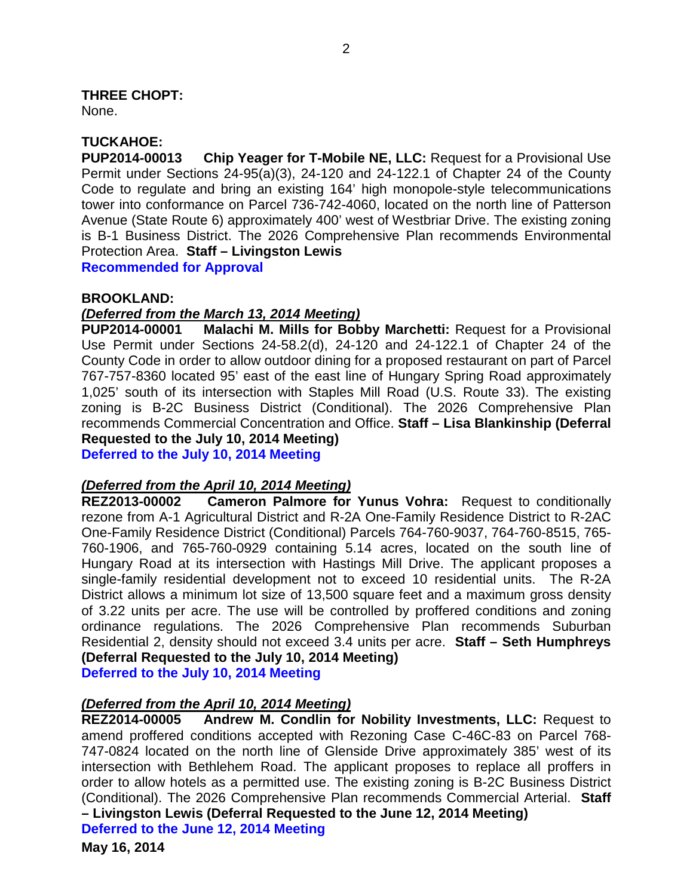**THREE CHOPT:** 

None.

### **TUCKAHOE:**

**PUP2014-00013 Chip Yeager for T-Mobile NE, LLC:** Request for a Provisional Use Permit under Sections 24-95(a)(3), 24-120 and 24-122.1 of Chapter 24 of the County Code to regulate and bring an existing 164' high monopole-style telecommunications tower into conformance on Parcel 736-742-4060, located on the north line of Patterson Avenue (State Route 6) approximately 400' west of Westbriar Drive. The existing zoning is B-1 Business District. The 2026 Comprehensive Plan recommends Environmental Protection Area. **Staff – Livingston Lewis Recommended for Approval**

**BROOKLAND:**

#### *(Deferred from the March 13, 2014 Meeting)*

**PUP2014-00001 Malachi M. Mills for Bobby Marchetti:** Request for a Provisional Use Permit under Sections 24-58.2(d), 24-120 and 24-122.1 of Chapter 24 of the County Code in order to allow outdoor dining for a proposed restaurant on part of Parcel 767-757-8360 located 95' east of the east line of Hungary Spring Road approximately 1,025' south of its intersection with Staples Mill Road (U.S. Route 33). The existing zoning is B-2C Business District (Conditional). The 2026 Comprehensive Plan recommends Commercial Concentration and Office. **Staff – Lisa Blankinship (Deferral Requested to the July 10, 2014 Meeting)**

**Deferred to the July 10, 2014 Meeting**

# *(Deferred from the April 10, 2014 Meeting)*

**Cameron Palmore for Yunus Vohra:** Request to conditionally rezone from A-1 Agricultural District and R-2A One-Family Residence District to R-2AC One-Family Residence District (Conditional) Parcels 764-760-9037, 764-760-8515, 765- 760-1906, and 765-760-0929 containing 5.14 acres, located on the south line of Hungary Road at its intersection with Hastings Mill Drive. The applicant proposes a single-family residential development not to exceed 10 residential units. The R-2A District allows a minimum lot size of 13,500 square feet and a maximum gross density of 3.22 units per acre. The use will be controlled by proffered conditions and zoning ordinance regulations. The 2026 Comprehensive Plan recommends Suburban Residential 2, density should not exceed 3.4 units per acre. **Staff – Seth Humphreys (Deferral Requested to the July 10, 2014 Meeting)**

**Deferred to the July 10, 2014 Meeting**

### *(Deferred from the April 10, 2014 Meeting)*

**REZ2014-00005 Andrew M. Condlin for Nobility Investments, LLC:** Request to amend proffered conditions accepted with Rezoning Case C-46C-83 on Parcel 768- 747-0824 located on the north line of Glenside Drive approximately 385' west of its intersection with Bethlehem Road. The applicant proposes to replace all proffers in order to allow hotels as a permitted use. The existing zoning is B-2C Business District (Conditional). The 2026 Comprehensive Plan recommends Commercial Arterial. **Staff – Livingston Lewis (Deferral Requested to the June 12, 2014 Meeting) Deferred to the June 12, 2014 Meeting**